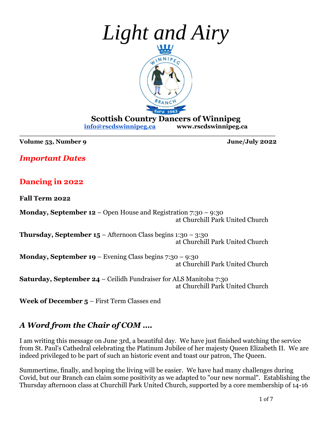

**Scottish Country Dancers of Winnipeg [info@rscdswinnipeg.ca](mailto:info@rscdswinnipeg.ca) [www.rscdswinnipeg.ca](http://www.rscdswinnipeg.ca/)**

**Volume 53, Number 9 June/July 2022**

*Important Dates*

### **Dancing in 2022**

**Fall Term 2022**

**Monday, September 12** – Open House and Registration 7:30 – 9:30 at Churchill Park United Church

**\_\_\_\_\_\_\_\_\_\_\_\_\_\_\_\_\_\_\_\_\_\_\_\_\_\_\_\_\_\_\_\_\_\_\_\_\_\_\_\_\_\_\_\_\_\_\_\_\_\_\_\_\_\_\_\_\_\_\_\_\_**

**Thursday, September 15** – Afternoon Class begins  $1:30 - 3:30$ at Churchill Park United Church

**Monday, September 19** – Evening Class begins 7:30 – 9:30 at Churchill Park United Church

**Saturday, September 24** – Ceilidh Fundraiser for ALS Manitoba 7:30 at Churchill Park United Church

**Week of December 5** – First Term Classes end

### *A Word from the Chair of COM ….*

I am writing this message on June 3rd, a beautiful day. We have just finished watching the service from St. Paul's Cathedral celebrating the Platinum Jubilee of her majesty Queen Elizabeth II. We are indeed privileged to be part of such an historic event and toast our patron, The Queen.

Summertime, finally, and hoping the living will be easier. We have had many challenges during Covid, but our Branch can claim some positivity as we adapted to "our new normal". Establishing the Thursday afternoon class at Churchill Park United Church, supported by a core membership of 14-16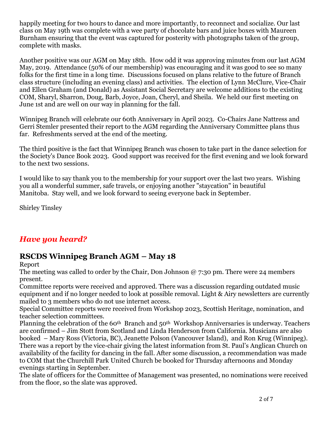happily meeting for two hours to dance and more importantly, to reconnect and socialize. Our last class on May 19th was complete with a wee party of chocolate bars and juice boxes with Maureen Burnham ensuring that the event was captured for posterity with photographs taken of the group, complete with masks.

Another positive was our AGM on May 18th. How odd it was approving minutes from our last AGM May, 2019. Attendance (50% of our membership) was encouraging and it was good to see so many folks for the first time in a long time. Discussions focused on plans relative to the future of Branch class structure (including an evening class) and activities. The election of Lynn McClure, Vice-Chair and Ellen Graham (and Donald) as Assistant Social Secretary are welcome additions to the existing COM, Sharyl, Sharron, Doug, Barb, Joyce, Joan, Cheryl, and Sheila. We held our first meeting on June 1st and are well on our way in planning for the fall.

Winnipeg Branch will celebrate our 60th Anniversary in April 2023. Co-Chairs Jane Nattress and Gerri Stemler presented their report to the AGM regarding the Anniversary Committee plans thus far. Refreshments served at the end of the meeting.

The third positive is the fact that Winnipeg Branch was chosen to take part in the dance selection for the Society's Dance Book 2023. Good support was received for the first evening and we look forward to the next two sessions.

I would like to say thank you to the membership for your support over the last two years. Wishing you all a wonderful summer, safe travels, or enjoying another "staycation" in beautiful Manitoba. Stay well, and we look forward to seeing everyone back in September.

Shirley Tinsley

### *Have you heard?*

### **RSCDS Winnipeg Branch AGM – May 18**

Report

The meeting was called to order by the Chair, Don Johnson @ 7:30 pm. There were 24 members present.

Committee reports were received and approved. There was a discussion regarding outdated music equipment and if no longer needed to look at possible removal. Light & Airy newsletters are currently mailed to 3 members who do not use internet access.

Special Committee reports were received from Workshop 2023, Scottish Heritage, nomination, and teacher selection committees.

Planning the celebration of the 60<sup>th</sup> Branch and 50<sup>th</sup> Workshop Anniversaries is underway. Teachers are confirmed – Jim Stott from Scotland and Linda Henderson from California. Musicians are also booked – Mary Ross (Victoria, BC), Jeanette Polson (Vancouver Island), and Ron Krug (Winnipeg). There was a report by the vice-chair giving the latest information from St. Paul's Anglican Church on availability of the facility for dancing in the fall. After some discussion, a recommendation was made to COM that the Churchill Park United Church be booked for Thursday afternoons and Monday evenings starting in September.

The slate of officers for the Committee of Management was presented, no nominations were received from the floor, so the slate was approved.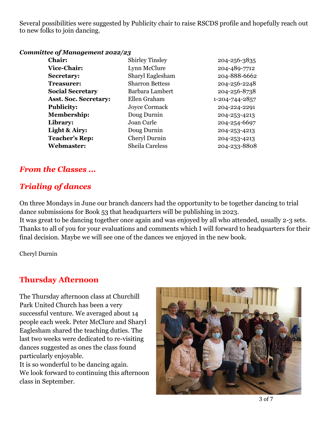Several possibilities were suggested by Publicity chair to raise RSCDS profile and hopefully reach out to new folks to join dancing.

#### *Committee of Management 2022/23*

| <b>Chair:</b>                | <b>Shirley Tinsley</b> | 204-256-3835   |
|------------------------------|------------------------|----------------|
| <b>Vice-Chair:</b>           | Lynn McClure           | 204-489-7712   |
| <b>Secretary:</b>            | Sharyl Eaglesham       | 204-888-6662   |
| <b>Treasurer:</b>            | <b>Sharron Bettess</b> | 204-256-2248   |
| <b>Social Secretary</b>      | Barbara Lambert        | 204-256-8738   |
| <b>Asst. Soc. Secretary:</b> | Ellen Graham           | 1-204-744-2857 |
| <b>Publicity:</b>            | Joyce Cormack          | 204-224-2291   |
| <b>Membership:</b>           | Doug Durnin            | 204-253-4213   |
| Library:                     | Joan Curle             | 204-254-6697   |
| <b>Light &amp; Airy:</b>     | Doug Durnin            | 204-253-4213   |
| <b>Teacher's Rep:</b>        | Cheryl Durnin          | 204-253-4213   |
| Webmaster:                   | <b>Sheila Careless</b> | 204-233-8808   |
|                              |                        |                |

### *From the Classes ...*

### *Trialing of dances*

On three Mondays in June our branch dancers had the opportunity to be together dancing to trial dance submissions for Book 53 that headquarters will be publishing in 2023.

It was great to be dancing together once again and was enjoyed by all who attended, usually 2-3 sets. Thanks to all of you for your evaluations and comments which I will forward to headquarters for their final decision. Maybe we will see one of the dances we enjoyed in the new book.

Cheryl Durnin

### **Thursday Afternoon**

class in September.

The Thursday afternoon class at Churchill Park United Church has been a very successful venture. We averaged about 14 people each week. Peter McClure and Sharyl Eaglesham shared the teaching duties. The last two weeks were dedicated to re-visiting dances suggested as ones the class found particularly enjoyable. It is so wonderful to be dancing again. We look forward to continuing this afternoon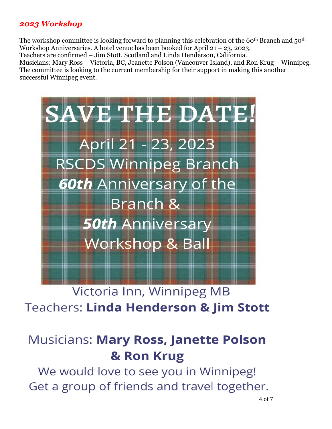### *2023 Workshop*

The workshop committee is looking forward to planning this celebration of the 60<sup>th</sup> Branch and 50<sup>th</sup> Workshop Anniversaries. A hotel venue has been booked for April 21 – 23, 2023.

Teachers are confirmed – Jim Stott, Scotland and Linda Henderson, California.

Musicians: Mary Ross – Victoria, BC, Jeanette Polson (Vancouver Island), and Ron Krug – Winnipeg. The committee is looking to the current membership for their support in making this another successful Winnipeg event.



## Victoria Inn, Winnipeg MB **Teachers: Linda Henderson & Jim Stott**

# **Musicians: Mary Ross, Janette Polson** & Ron Krug

We would love to see you in Winnipeg! Get a group of friends and travel together.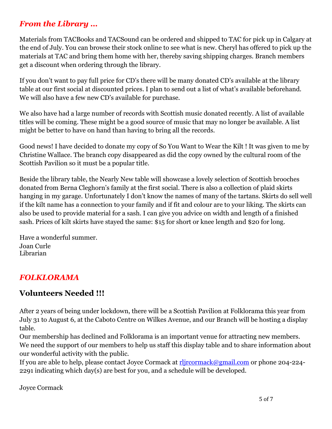### *From the Library …*

Materials from TACBooks and TACSound can be ordered and shipped to TAC for pick up in Calgary at the end of July. You can browse their stock online to see what is new. Cheryl has offered to pick up the materials at TAC and bring them home with her, thereby saving shipping charges. Branch members get a discount when ordering through the library.

If you don't want to pay full price for CD's there will be many donated CD's available at the library table at our first social at discounted prices. I plan to send out a list of what's available beforehand. We will also have a few new CD's available for purchase.

We also have had a large number of records with Scottish music donated recently. A list of available titles will be coming. These might be a good source of music that may no longer be available. A list might be better to have on hand than having to bring all the records.

Good news! I have decided to donate my copy of So You Want to Wear the Kilt ! It was given to me by Christine Wallace. The branch copy disappeared as did the copy owned by the cultural room of the Scottish Pavilion so it must be a popular title.

Beside the library table, the Nearly New table will showcase a lovely selection of Scottish brooches donated from Berna Cleghorn's family at the first social. There is also a collection of plaid skirts hanging in my garage. Unfortunately I don't know the names of many of the tartans. Skirts do sell well if the kilt name has a connection to your family and if fit and colour are to your liking. The skirts can also be used to provide material for a sash. I can give you advice on width and length of a finished sash. Prices of kilt skirts have stayed the same: \$15 for short or knee length and \$20 for long.

Have a wonderful summer. Joan Curle Librarian

### *FOLKLORAMA*

### **Volunteers Needed !!!**

After 2 years of being under lockdown, there will be a Scottish Pavilion at Folklorama this year from July 31 to August 6, at the Caboto Centre on Wilkes Avenue, and our Branch will be hosting a display table.

Our membership has declined and Folklorama is an important venue for attracting new members. We need the support of our members to help us staff this display table and to share information about our wonderful activity with the public.

If you are able to help, please contact Joyce Cormack at [rljrcormack@gmail.com](mailto:rljrcormack@gmail.com) or phone 204-224- 2291 indicating which day(s) are best for you, and a schedule will be developed.

Joyce Cormack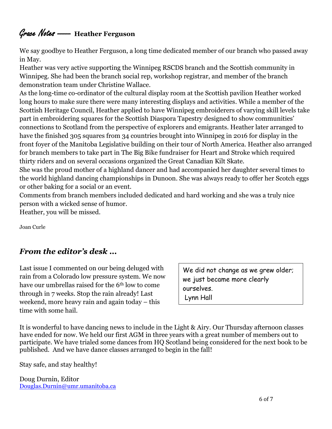### Grace Notes - **Heather Ferguson**

We say goodbye to Heather Ferguson, a long time dedicated member of our branch who passed away in May.

Heather was very active supporting the Winnipeg RSCDS branch and the Scottish community in Winnipeg. She had been the branch social rep, workshop registrar, and member of the branch demonstration team under Christine Wallace.

As the long-time co-ordinator of the cultural display room at the Scottish pavilion Heather worked long hours to make sure there were many interesting displays and activities. While a member of the Scottish Heritage Council, Heather applied to have Winnipeg embroiderers of varying skill levels take part in embroidering squares for the Scottish Diaspora Tapestry designed to show communities' connections to Scotland from the perspective of explorers and emigrants. Heather later arranged to have the finished 305 squares from 34 countries brought into Winnipeg in 2016 for display in the front foyer of the Manitoba Legislative building on their tour of North America. Heather also arranged for branch members to take part in The Big Bike fundraiser for Heart and Stroke which required thirty riders and on several occasions organized the Great Canadian Kilt Skate.

She was the proud mother of a highland dancer and had accompanied her daughter several times to the world highland dancing championships in Dunoon. She was always ready to offer her Scotch eggs or other baking for a social or an event.

Comments from branch members included dedicated and hard working and she was a truly nice person with a wicked sense of humor.

Heather, you will be missed.

Joan Curle

### *From the editor's desk ...*

Last issue I commented on our being deluged with rain from a Colorado low pressure system. We now have our umbrellas raised for the 6th low to come through in 7 weeks. Stop the rain already! Last weekend, more heavy rain and again today – this time with some hail.

We did not change as we grew older; we just became more clearly ourselves. Lynn Hall

It is wonderful to have dancing news to include in the Light & Airy. Our Thursday afternoon classes have ended for now. We held our first AGM in three years with a great number of members out to participate. We have trialed some dances from HQ Scotland being considered for the next book to be published. And we have dance classes arranged to begin in the fall!

Stay safe, and stay healthy!

Doug Durnin, Editor [Douglas.Durnin@umr.umanitoba.ca](mailto:Douglas.Durnin@umr.umanitoba.ca)